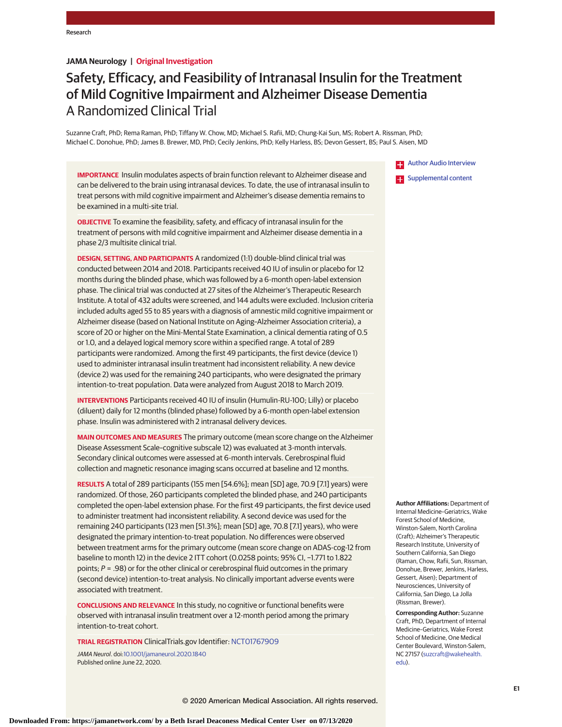# **JAMA Neurology | Original Investigation**

# Safety, Efficacy, and Feasibility of Intranasal Insulin for the Treatment of Mild Cognitive Impairment and Alzheimer Disease Dementia A Randomized Clinical Trial

Suzanne Craft, PhD; Rema Raman, PhD; Tiffany W. Chow, MD; Michael S. Rafii, MD; Chung-Kai Sun, MS; Robert A. Rissman, PhD; Michael C. Donohue, PhD; James B. Brewer, MD, PhD; Cecily Jenkins, PhD; Kelly Harless, BS; Devon Gessert, BS; Paul S. Aisen, MD

**IMPORTANCE** Insulin modulates aspects of brain function relevant to Alzheimer disease and can be delivered to the brain using intranasal devices. To date, the use of intranasal insulin to treat persons with mild cognitive impairment and Alzheimer's disease dementia remains to be examined in a multi-site trial.

**OBJECTIVE** To examine the feasibility, safety, and efficacy of intranasal insulin for the treatment of persons with mild cognitive impairment and Alzheimer disease dementia in a phase 2/3 multisite clinical trial.

**DESIGN, SETTING, AND PARTICIPANTS** A randomized (1:1) double-blind clinical trial was conducted between 2014 and 2018. Participants received 40 IU of insulin or placebo for 12 months during the blinded phase, which was followed by a 6-month open-label extension phase. The clinical trial was conducted at 27 sites of the Alzheimer's Therapeutic Research Institute. A total of 432 adults were screened, and 144 adults were excluded. Inclusion criteria included adults aged 55 to 85 years with a diagnosis of amnestic mild cognitive impairment or Alzheimer disease (based on National Institute on Aging–Alzheimer Association criteria), a score of 20 or higher on the Mini-Mental State Examination, a clinical dementia rating of 0.5 or 1.0, and a delayed logical memory score within a specified range. A total of 289 participants were randomized. Among the first 49 participants, the first device (device 1) used to administer intranasal insulin treatment had inconsistent reliability. A new device (device 2) was used for the remaining 240 participants, who were designated the primary intention-to-treat population. Data were analyzed from August 2018 to March 2019.

**INTERVENTIONS** Participants received 40 IU of insulin (Humulin-RU-100; Lilly) or placebo (diluent) daily for 12 months (blinded phase) followed by a 6-month open-label extension phase. Insulin was administered with 2 intranasal delivery devices.

**MAIN OUTCOMES AND MEASURES** The primary outcome (mean score change on the Alzheimer Disease Assessment Scale–cognitive subscale 12) was evaluated at 3-month intervals. Secondary clinical outcomes were assessed at 6-month intervals. Cerebrospinal fluid collection and magnetic resonance imaging scans occurred at baseline and 12 months.

**RESULTS** A total of 289 participants (155 men [54.6%]; mean [SD] age, 70.9 [7.1] years) were randomized. Of those, 260 participants completed the blinded phase, and 240 participants completed the open-label extension phase. For the first 49 participants, the first device used to administer treatment had inconsistent reliability. A second device was used for the remaining 240 participants (123 men [51.3%]; mean [SD] age, 70.8 [7.1] years), who were designated the primary intention-to-treat population. No differences were observed between treatment arms for the primary outcome (mean score change on ADAS-cog-12 from baseline to month 12) in the device 2 ITT cohort (0.0258 points; 95% CI, −1.771 to 1.822 points;  $P = .98$ ) or for the other clinical or cerebrospinal fluid outcomes in the primary (second device) intention-to-treat analysis. No clinically important adverse events were associated with treatment.

**CONCLUSIONS AND RELEVANCE** In this study, no cognitive or functional benefits were observed with intranasal insulin treatment over a 12-month period among the primary intention-to-treat cohort.

**TRIAL REGISTRATION** ClinicalTrials.gov Identifier: [NCT01767909](https://clinicaltrials.gov/ct2/show/NCT01767909)

JAMA Neurol. doi[:10.1001/jamaneurol.2020.1840](https://jamanetwork.com/journals/jama/fullarticle/10.1001/jamaneurol.2020.1840?utm_campaign=articlePDF%26utm_medium=articlePDFlink%26utm_source=articlePDF%26utm_content=jamaneurol.2020.1840) Published online June 22, 2020.

[Author Audio Interview](https://jamanetwork.com/learning/audio-player/10.1001/jamaneurol.2020.2141?utm_campaign=articlePDF%26utm_medium=articlePDFlink%26utm_source=articlePDF%26utm_content=jamaneurol.2020.1840)

**Examplemental content** 

**Author Affiliations:** Department of Internal Medicine–Geriatrics, Wake Forest School of Medicine, Winston-Salem, North Carolina (Craft); Alzheimer's Therapeutic Research Institute, University of Southern California, San Diego (Raman, Chow, Rafii, Sun, Rissman, Donohue, Brewer, Jenkins, Harless, Gessert, Aisen); Department of Neurosciences, University of California, San Diego, La Jolla (Rissman, Brewer).

**Corresponding Author:** Suzanne Craft, PhD, Department of Internal Medicine–Geriatrics, Wake Forest School of Medicine, One Medical Center Boulevard, Winston-Salem, NC 27157 [\(suzcraft@wakehealth.](mailto:suzcraft@wakehealth.edu) [edu\)](mailto:suzcraft@wakehealth.edu).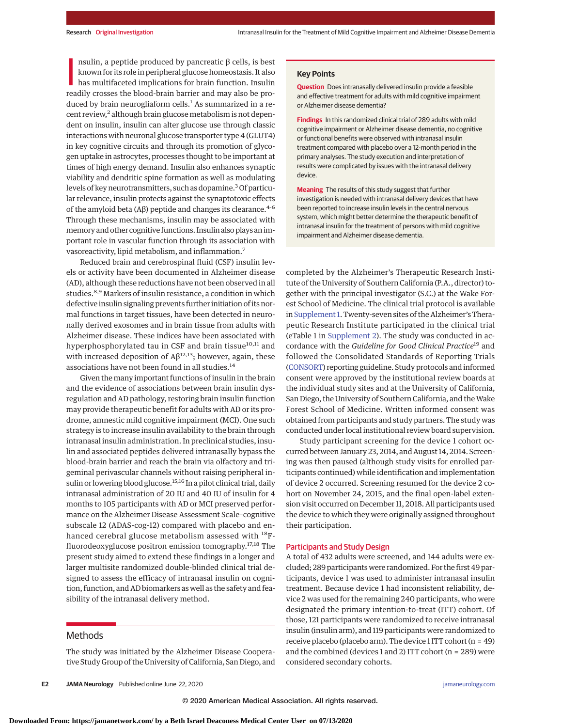nsulin, a peptide produced by pancreatic  $\beta$  cells, is best<br>known for its role in peripheral glucose homeostasis. It also<br>has multifaceted implications for brain function. Insulin<br>readily crosses the blood-brain barrier nsulin, a peptide produced by pancreatic β cells, is best known for its role in peripheral glucose homeostasis. It also has multifaceted implications for brain function. Insulin duced by brain neurogliaform cells.<sup>1</sup> As summarized in a recent review,<sup>2</sup> although brain glucose metabolism is not dependent on insulin, insulin can alter glucose use through classic interactions with neuronal glucose transporter type 4 (GLUT4) in key cognitive circuits and through its promotion of glycogen uptake in astrocytes, processes thought to be important at times of high energy demand. Insulin also enhances synaptic viability and dendritic spine formation as well as modulating levels of key neurotransmitters, such as dopamine.<sup>3</sup> Of particular relevance, insulin protects against the synaptotoxic effects of the amyloid beta (Aβ) peptide and changes its clearance.<sup>4-6</sup> Through these mechanisms, insulin may be associated with memory and other cognitive functions. Insulin also plays an important role in vascular function through its association with vasoreactivity, lipid metabolism, and inflammation.7

Reduced brain and cerebrospinal fluid (CSF) insulin levels or activity have been documented in Alzheimer disease (AD), although these reductions have not been observed in all studies.<sup>8,9</sup> Markers of insulin resistance, a condition in which defective insulin signaling prevents further initiation of its normal functions in target tissues, have been detected in neuronally derived exosomes and in brain tissue from adults with Alzheimer disease. These indices have been associated with hyperphosphorylated tau in CSF and brain tissue<sup>10,11</sup> and with increased deposition of  $\mathsf{A}\beta^{12,13}$ ; however, again, these associations have not been found in all studies.<sup>14</sup>

Given the many important functions of insulin in the brain and the evidence of associations between brain insulin dysregulation and AD pathology, restoring brain insulin function may provide therapeutic benefit for adults with AD or its prodrome, amnestic mild cognitive impairment (MCI). One such strategy is to increase insulin availability to the brain through intranasal insulin administration. In preclinical studies, insulin and associated peptides delivered intranasally bypass the blood-brain barrier and reach the brain via olfactory and trigeminal perivascular channels without raising peripheral insulin or lowering blood glucose.<sup>15,16</sup> In a pilot clinical trial, daily intranasal administration of 20 IU and 40 IU of insulin for 4 months to 105 participants with AD or MCI preserved performance on the Alzheimer Disease Assessment Scale–cognitive subscale 12 (ADAS-cog-12) compared with placebo and enhanced cerebral glucose metabolism assessed with 18Ffluorodeoxyglucose positron emission tomography.17,18 The present study aimed to extend these findings in a longer and larger multisite randomized double-blinded clinical trial designed to assess the efficacy of intranasal insulin on cognition, function, and AD biomarkers as well as the safety and feasibility of the intranasal delivery method.

# Methods

The study was initiated by the Alzheimer Disease Cooperative Study Group of the University of California, San Diego, and

**E2 JAMA Neurology** Published online June 22, 2020 **(Reprinted)** [jamaneurology.com](http://www.jamaneurology.com?utm_campaign=articlePDF%26utm_medium=articlePDFlink%26utm_source=articlePDF%26utm_content=jamaneurol.2020.1840)

# **Key Points**

**Question** Does intranasally delivered insulin provide a feasible and effective treatment for adults with mild cognitive impairment or Alzheimer disease dementia?

**Findings** In this randomized clinical trial of 289 adults with mild cognitive impairment or Alzheimer disease dementia, no cognitive or functional benefits were observed with intranasal insulin treatment compared with placebo over a 12-month period in the primary analyses. The study execution and interpretation of results were complicated by issues with the intranasal delivery device.

**Meaning** The results of this study suggest that further investigation is needed with intranasal delivery devices that have been reported to increase insulin levels in the central nervous system, which might better determine the therapeutic benefit of intranasal insulin for the treatment of persons with mild cognitive impairment and Alzheimer disease dementia.

completed by the Alzheimer's Therapeutic Research Institute of the University of Southern California (P.A., director) together with the principal investigator (S.C.) at the Wake Forest School of Medicine. The clinical trial protocol is available in Supplement 1. Twenty-seven sites of the Alzheimer's Therapeutic Research Institute participated in the clinical trial (eTable 1 in [Supplement 2\)](https://jamanetwork.com/journals/jama/fullarticle/10.1001/jamaneurol.2020.1840?utm_campaign=articlePDF%26utm_medium=articlePDFlink%26utm_source=articlePDF%26utm_content=jamaneurol.2020.1840). The study was conducted in accordance with the *Guideline for Good Clinical Practice*<sup>19</sup> and followed the Consolidated Standards of Reporting Trials [\(CONSORT\)](https://www.equator-network.org/reporting-guidelines/consort/) reporting guideline. Study protocols and informed consent were approved by the institutional review boards at the individual study sites and at the University of California, San Diego, the University of Southern California, and theWake Forest School of Medicine. Written informed consent was obtained from participants and study partners. The study was conducted under local institutional review board supervision.

Study participant screening for the device 1 cohort occurred between January 23, 2014, and August 14, 2014. Screening was then paused (although study visits for enrolled participants continued) while identification and implementation of device 2 occurred. Screening resumed for the device 2 cohort on November 24, 2015, and the final open-label extension visit occurred on December 11, 2018. All participants used the device to which they were originally assigned throughout their participation.

# Participants and Study Design

A total of 432 adults were screened, and 144 adults were excluded; 289 participants were randomized. For the first 49 participants, device 1 was used to administer intranasal insulin treatment. Because device 1 had inconsistent reliability, device 2 was used for the remaining 240 participants, who were designated the primary intention-to-treat (ITT) cohort. Of those, 121 participants were randomized to receive intranasal insulin (insulin arm), and 119 participants were randomized to receive placebo (placebo arm). The device 1 ITT cohort ( $n = 49$ ) and the combined (devices 1 and 2) ITT cohort (n = 289) were considered secondary cohorts.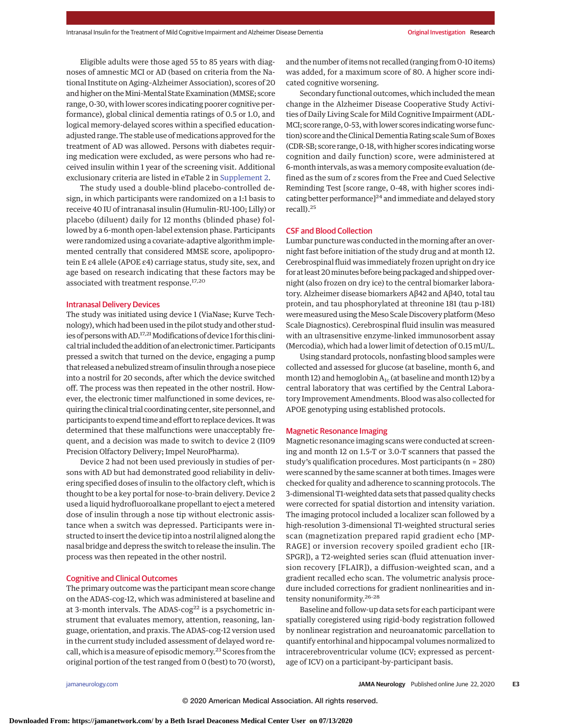Eligible adults were those aged 55 to 85 years with diagnoses of amnestic MCI or AD (based on criteria from the National Institute on Aging–Alzheimer Association), scores of 20 and higher on the Mini-Mental State Examination (MMSE; score range, 0-30, with lower scores indicating poorer cognitive performance), global clinical dementia ratings of 0.5 or 1.0, and logical memory-delayed scores within a specified educationadjusted range. The stable use of medications approved for the treatment of AD was allowed. Persons with diabetes requiring medication were excluded, as were persons who had received insulin within 1 year of the screening visit. Additional exclusionary criteria are listed in eTable 2 in [Supplement 2.](https://jamanetwork.com/journals/jama/fullarticle/10.1001/jamaneurol.2020.1840?utm_campaign=articlePDF%26utm_medium=articlePDFlink%26utm_source=articlePDF%26utm_content=jamaneurol.2020.1840)

The study used a double-blind placebo-controlled design, in which participants were randomized on a 1:1 basis to receive 40 IU of intranasal insulin (Humulin-RU-100; Lilly) or placebo (diluent) daily for 12 months (blinded phase) followed by a 6-month open-label extension phase. Participants were randomized using a covariate-adaptive algorithm implemented centrally that considered MMSE score, apolipoprotein E ε4 allele (APOE ε4) carriage status, study site, sex, and age based on research indicating that these factors may be associated with treatment response.<sup>17,20</sup>

#### Intranasal Delivery Devices

The study was initiated using device 1 (ViaNase; Kurve Technology), which had been used in the pilot study and other studies of persons with AD.<sup>17,21</sup> Modifications of device 1 for this clinical trial included the addition of an electronic timer. Participants pressed a switch that turned on the device, engaging a pump that released a nebulized stream of insulin through a nose piece into a nostril for 20 seconds, after which the device switched off. The process was then repeated in the other nostril. However, the electronic timer malfunctioned in some devices, requiring the clinical trial coordinating center, site personnel, and participants to expend time and effort to replace devices. It was determined that these malfunctions were unacceptably frequent, and a decision was made to switch to device 2 (I109 Precision Olfactory Delivery; Impel NeuroPharma).

Device 2 had not been used previously in studies of persons with AD but had demonstrated good reliability in delivering specified doses of insulin to the olfactory cleft, which is thought to be a key portal for nose-to-brain delivery. Device 2 used a liquid hydrofluoroalkane propellant to eject a metered dose of insulin through a nose tip without electronic assistance when a switch was depressed. Participants were instructed to insert the device tip into a nostril aligned along the nasal bridge and depress the switch to release the insulin. The process was then repeated in the other nostril.

#### Cognitive and Clinical Outcomes

The primary outcome was the participant mean score change on the ADAS-cog-12, which was administered at baseline and at 3-month intervals. The ADAS- $\cos^{22}$  is a psychometric instrument that evaluates memory, attention, reasoning, language, orientation, and praxis. The ADAS-cog-12 version used in the current study included assessment of delayed word recall, which is a measure of episodic memory.<sup>23</sup> Scores from the original portion of the test ranged from 0 (best) to 70 (worst), and the number of items not recalled (ranging from 0-10 items) was added, for a maximum score of 80. A higher score indicated cognitive worsening.

Secondary functional outcomes, which included themean change in the Alzheimer Disease Cooperative Study Activities of Daily Living Scale for Mild Cognitive Impairment (ADL-MCI; score range, 0-53, with lower scores indicating worse function) score and the Clinical Dementia Rating scale Sum of Boxes (CDR-SB; score range, 0-18, with higher scores indicating worse cognition and daily function) score, were administered at 6-month intervals, as was amemory composite evaluation (defined as the sum of *z* scores from the Free and Cued Selective Reminding Test [score range, 0-48, with higher scores indicating better performance] $24$  and immediate and delayed story recall).<sup>25</sup>

# CSF and Blood Collection

Lumbar puncture was conducted in the morning after an overnight fast before initiation of the study drug and at month 12. Cerebrospinal fluid was immediately frozen upright on dry ice for at least 20minutes before being packaged and shipped overnight (also frozen on dry ice) to the central biomarker laboratory. Alzheimer disease biomarkers Aβ42 and Aβ40, total tau protein, and tau phosphorylated at threonine 181 (tau p-181) were measured using the Meso Scale Discovery platform (Meso Scale Diagnostics). Cerebrospinal fluid insulin was measured with an ultrasensitive enzyme-linked immunosorbent assay (Mercodia), which had a lower limit of detection of 0.15 mU/L.

Using standard protocols, nonfasting blood samples were collected and assessed for glucose (at baseline, month 6, and month 12) and hemoglobin  $A_{1c}$  (at baseline and month 12) by a central laboratory that was certified by the Central Laboratory Improvement Amendments. Blood was also collected for APOE genotyping using established protocols.

# Magnetic Resonance Imaging

Magnetic resonance imaging scans were conducted at screening and month 12 on 1.5-T or 3.0-T scanners that passed the study's qualification procedures. Most participants (n = 280) were scanned by the same scanner at both times. Images were checked for quality and adherence to scanning protocols. The 3-dimensional T1-weighted data sets that passed quality checks were corrected for spatial distortion and intensity variation. The imaging protocol included a localizer scan followed by a high-resolution 3-dimensional T1-weighted structural series scan (magnetization prepared rapid gradient echo [MP-RAGE] or inversion recovery spoiled gradient echo [IR-SPGR]), a T2-weighted series scan (fluid attenuation inversion recovery [FLAIR]), a diffusion-weighted scan, and a gradient recalled echo scan. The volumetric analysis procedure included corrections for gradient nonlinearities and intensity nonuniformity.26-28

Baseline and follow-up data sets for each participant were spatially coregistered using rigid-body registration followed by nonlinear registration and neuroanatomic parcellation to quantify entorhinal and hippocampal volumes normalized to intracerebroventricular volume (ICV; expressed as percentage of ICV) on a participant-by-participant basis.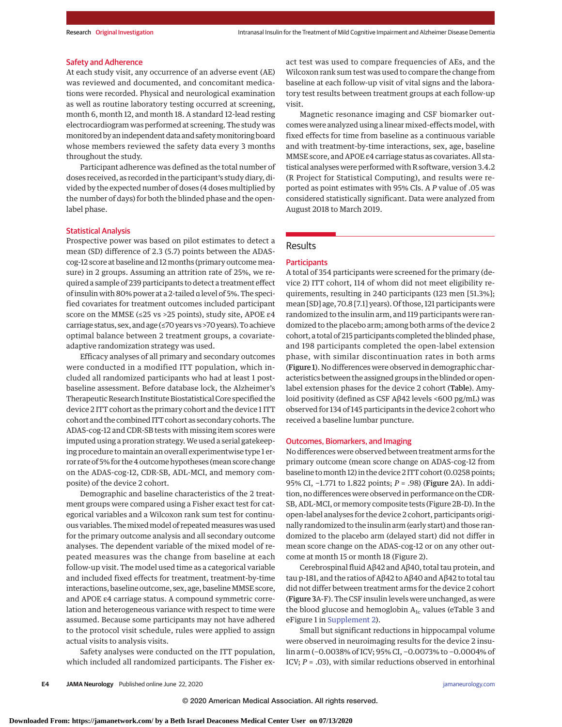#### Safety and Adherence

At each study visit, any occurrence of an adverse event (AE) was reviewed and documented, and concomitant medications were recorded. Physical and neurological examination as well as routine laboratory testing occurred at screening, month 6, month 12, and month 18. A standard 12-lead resting electrocardiogram was performed at screening. The study was monitored by an independent data and safetymonitoring board whose members reviewed the safety data every 3 months throughout the study.

Participant adherence was defined as the total number of doses received, as recorded in the participant's study diary, divided by the expected number of doses (4 doses multiplied by the number of days) for both the blinded phase and the openlabel phase.

# Statistical Analysis

Prospective power was based on pilot estimates to detect a mean (SD) difference of 2.3 (5.7) points between the ADAScog-12 score at baseline and 12 months (primary outcome measure) in 2 groups. Assuming an attrition rate of 25%, we required a sample of 239 participants to detect a treatment effect of insulin with 80% power at a 2-tailed α level of 5%. The specified covariates for treatment outcomes included participant score on the MMSE (≤25 vs >25 points), study site, APOE ε4 carriage status, sex, and age (≤70 years vs >70 years). To achieve optimal balance between 2 treatment groups, a covariateadaptive randomization strategy was used.

Efficacy analyses of all primary and secondary outcomes were conducted in a modified ITT population, which included all randomized participants who had at least 1 postbaseline assessment. Before database lock, the Alzheimer's Therapeutic Research Institute Biostatistical Core specified the device 2 ITT cohort as the primary cohort and the device 1 ITT cohort and the combined ITT cohort as secondary cohorts. The ADAS-cog-12 and CDR-SB tests with missing item scores were imputed using a proration strategy.We used a serial gatekeeping procedure to maintain an overall experimentwise type 1 error rate of 5% for the 4 outcome hypotheses (mean score change on the ADAS-cog-12, CDR-SB, ADL-MCI, and memory composite) of the device 2 cohort.

Demographic and baseline characteristics of the 2 treatment groups were compared using a Fisher exact test for categorical variables and a Wilcoxon rank sum test for continuous variables. The mixed model of repeated measures was used for the primary outcome analysis and all secondary outcome analyses. The dependent variable of the mixed model of repeated measures was the change from baseline at each follow-up visit. The model used time as a categorical variable and included fixed effects for treatment, treatment-by-time interactions, baseline outcome, sex, age, baseline MMSE score, and APOE ε4 carriage status. A compound symmetric correlation and heterogeneous variance with respect to time were assumed. Because some participants may not have adhered to the protocol visit schedule, rules were applied to assign actual visits to analysis visits.

Safety analyses were conducted on the ITT population, which included all randomized participants. The Fisher exact test was used to compare frequencies of AEs, and the Wilcoxon rank sum test was used to compare the change from baseline at each follow-up visit of vital signs and the laboratory test results between treatment groups at each follow-up visit.

Magnetic resonance imaging and CSF biomarker outcomes were analyzed using a linear mixed-effects model, with fixed effects for time from baseline as a continuous variable and with treatment-by-time interactions, sex, age, baseline MMSE score, and APOE ε4 carriage status as covariates. All statistical analyses were performed with R software, version 3.4.2 (R Project for Statistical Computing), and results were reported as point estimates with 95% CIs. A *P* value of .05 was considered statistically significant. Data were analyzed from August 2018 to March 2019.

# Results

# **Participants**

A total of 354 participants were screened for the primary (device 2) ITT cohort, 114 of whom did not meet eligibility requirements, resulting in 240 participants (123 men [51.3%]; mean [SD] age, 70.8 [7.1] years). Of those, 121 participants were randomized to the insulin arm, and 119 participants were randomized to the placebo arm; among both arms of the device 2 cohort, a total of 215 participants completed the blinded phase, and 198 participants completed the open-label extension phase, with similar discontinuation rates in both arms (Figure 1). No differences were observed in demographic characteristics between the assigned groups in the blinded or openlabel extension phases for the device 2 cohort (Table). Amyloid positivity (defined as CSF Aβ42 levels <600 pg/mL) was observed for 134 of 145 participants in the device 2 cohort who received a baseline lumbar puncture.

#### Outcomes, Biomarkers, and Imaging

No differences were observed between treatment arms for the primary outcome (mean score change on ADAS-cog-12 from baseline tomonth 12) in the device 2 ITT cohort (0.0258 points; 95% CI, −1.771 to 1.822 points; *P* = .98) (Figure 2A). In addition, no differences were observed in performance on the CDR-SB, ADL-MCI, or memory composite tests (Figure 2B-D). In the open-label analyses for the device 2 cohort, participants originally randomized to the insulin arm (early start) and those randomized to the placebo arm (delayed start) did not differ in mean score change on the ADAS-cog-12 or on any other outcome at month 15 or month 18 (Figure 2).

Cerebrospinal fluid Aβ42 and Aβ40, total tau protein, and tau p-181, and the ratios of Aβ42 to Aβ40 and Aβ42 to total tau did not differ between treatment arms for the device 2 cohort (Figure 3A-F). The CSF insulin levels were unchanged, as were the blood glucose and hemoglobin  $A_{1c}$  values (eTable 3 and eFigure 1 in [Supplement 2\)](https://jamanetwork.com/journals/jama/fullarticle/10.1001/jamaneurol.2020.1840?utm_campaign=articlePDF%26utm_medium=articlePDFlink%26utm_source=articlePDF%26utm_content=jamaneurol.2020.1840).

Small but significant reductions in hippocampal volume were observed in neuroimaging results for the device 2 insulin arm (−0.0038% of ICV; 95% CI, −0.0073% to −0.0004% of ICV; *P* = .03), with similar reductions observed in entorhinal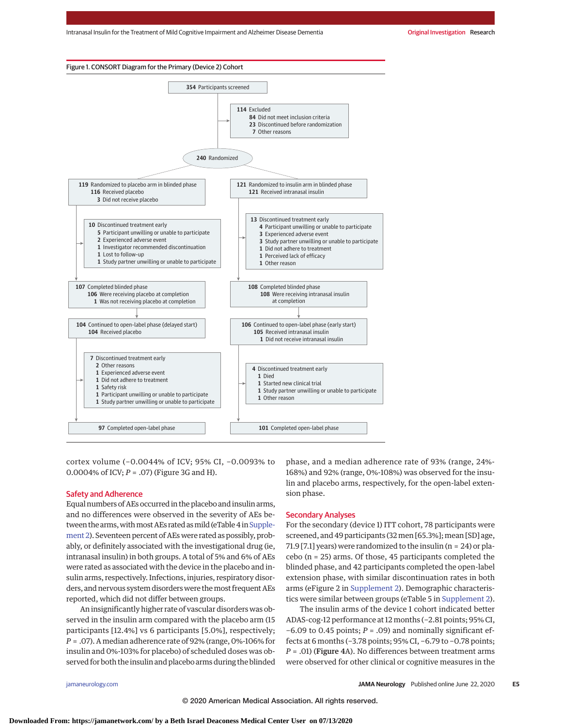

cortex volume (−0.0044% of ICV; 95% CI, −0.0093% to 0.0004% of ICV; *P* = .07) (Figure 3G and H).

# Safety and Adherence

Equal numbers of AEs occurred in the placebo and insulin arms, and no differences were observed in the severity of AEs be-tween the arms, with most AEs rated as mild (eTable 4 in [Supple](https://jamanetwork.com/journals/jama/fullarticle/10.1001/jamaneurol.2020.1840?utm_campaign=articlePDF%26utm_medium=articlePDFlink%26utm_source=articlePDF%26utm_content=jamaneurol.2020.1840)[ment 2\)](https://jamanetwork.com/journals/jama/fullarticle/10.1001/jamaneurol.2020.1840?utm_campaign=articlePDF%26utm_medium=articlePDFlink%26utm_source=articlePDF%26utm_content=jamaneurol.2020.1840). Seventeen percent of AEs were rated as possibly, probably, or definitely associated with the investigational drug (ie, intranasal insulin) in both groups. A total of 5% and 6% of AEs were rated as associated with the device in the placebo and insulin arms, respectively. Infections, injuries, respiratory disorders, and nervous system disorders were themost frequent AEs reported, which did not differ between groups.

An insignificantly higher rate of vascular disorders was observed in the insulin arm compared with the placebo arm (15 participants [12.4%] vs 6 participants [5.0%], respectively; *P* = .07). A median adherence rate of 92% (range, 0%-106% for insulin and 0%-103% for placebo) of scheduled doses was observed for both the insulin and placebo arms during the blinded phase, and a median adherence rate of 93% (range, 24%- 168%) and 92% (range, 0%-108%) was observed for the insulin and placebo arms, respectively, for the open-label extension phase.

# Secondary Analyses

For the secondary (device 1) ITT cohort, 78 participants were screened, and 49 participants (32 men [65.3%]; mean [SD] age, 71.9 [7.1] years) were randomized to the insulin (n = 24) or placebo (n = 25) arms. Of those, 45 participants completed the blinded phase, and 42 participants completed the open-label extension phase, with similar discontinuation rates in both arms (eFigure 2 in [Supplement 2\)](https://jamanetwork.com/journals/jama/fullarticle/10.1001/jamaneurol.2020.1840?utm_campaign=articlePDF%26utm_medium=articlePDFlink%26utm_source=articlePDF%26utm_content=jamaneurol.2020.1840). Demographic characteristics were similar between groups (eTable 5 in [Supplement 2\)](https://jamanetwork.com/journals/jama/fullarticle/10.1001/jamaneurol.2020.1840?utm_campaign=articlePDF%26utm_medium=articlePDFlink%26utm_source=articlePDF%26utm_content=jamaneurol.2020.1840).

The insulin arms of the device 1 cohort indicated better ADAS-cog-12 performance at 12 months (−2.81 points; 95% CI, −6.09 to 0.45 points; *P* = .09) and nominally significant effects at 6 months (−3.78 points; 95% CI, −6.79 to −0.78 points; *P* = .01) (Figure 4A). No differences between treatment arms were observed for other clinical or cognitive measures in the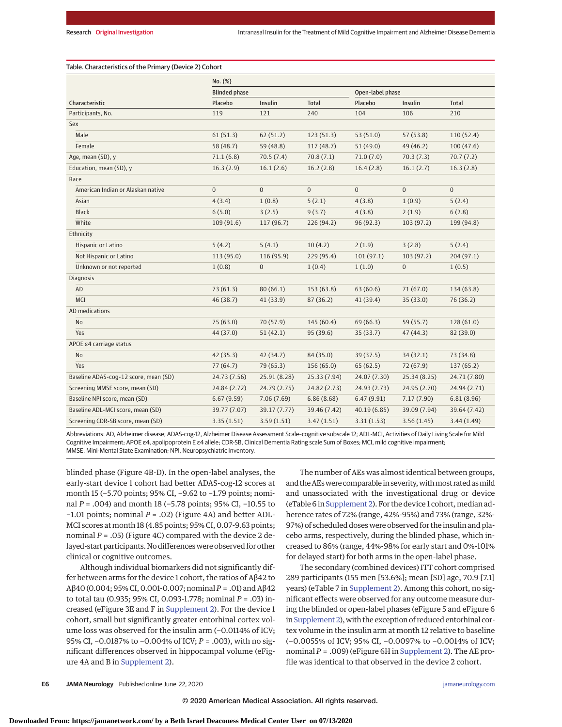Table. Characteristics of the Primary (Device 2) Cohort

| <b>Blinded phase</b><br>Open-label phase<br><b>Total</b><br>Characteristic<br>Placebo<br>Insulin<br>Placebo<br>Insulin<br><b>Total</b><br>104<br>106<br>119<br>240<br>210<br>Participants, No.<br>121<br>Sex<br>Male<br>61(51.3)<br>62(51.2)<br>123(51.3)<br>53(51.0)<br>57(53.8)<br>110(52.4)<br>58 (48.7)<br>Female<br>59 (48.8)<br>117(48.7)<br>51(49.0)<br>49 (46.2)<br>100(47.6)<br>71.1(6.8)<br>70.5(7.4)<br>70.8(7.1)<br>71.0(7.0)<br>70.3(7.3)<br>70.7(7.2)<br>Age, mean (SD), y<br>16.3(2.9)<br>16.1(2.6)<br>16.2(2.8)<br>16.1(2.7)<br>Education, mean (SD), y<br>16.4(2.8)<br>16.3(2.8)<br>Race<br>$\mathbf{0}$<br>$\overline{0}$<br>$\mathbf{0}$<br>$\overline{0}$<br>$\mathbf{0}$<br>$\mathbf{0}$<br>American Indian or Alaskan native<br>5(2.1)<br>5(2.4)<br>Asian<br>4(3.4)<br>1(0.8)<br>4(3.8)<br>1(0.9)<br><b>Black</b><br>3(2.5)<br>9(3.7)<br>6(5.0)<br>4(3.8)<br>2(1.9)<br>6(2.8)<br>White<br>199 (94.8)<br>109 (91.6)<br>117 (96.7)<br>226 (94.2)<br>96(92.3)<br>103(97.2)<br>Ethnicity<br>5(4.2)<br>5(4.1)<br>10(4.2)<br>2(1.9)<br>3(2.8)<br>5(2.4)<br>Hispanic or Latino<br>101(97.1)<br>Not Hispanic or Latino<br>113 (95.0)<br>116 (95.9)<br>229 (95.4)<br>103(97.2)<br>204(97.1)<br>$\overline{0}$<br>Unknown or not reported<br>1(0.8)<br>$\overline{0}$<br>1(0.4)<br>1(1.0)<br>1(0.5)<br><b>Diagnosis</b><br>AD<br>73(61.3)<br>80(66.1)<br>153 (63.8)<br>63(60.6)<br>71(67.0)<br>134 (63.8)<br><b>MCI</b><br>87 (36.2)<br>46 (38.7)<br>41 (33.9)<br>41(39.4)<br>35 (33.0)<br>76 (36.2)<br>AD medications<br>75(63.0)<br>70 (57.9)<br>145(60.4)<br>69(66.3)<br>59 (55.7)<br>No<br>128(61.0)<br>Yes<br>95 (39.6)<br>47(44.3)<br>82 (39.0)<br>44 (37.0)<br>51(42.1)<br>35(33.7)<br>APOE ε4 carriage status<br><b>No</b><br>42(35.3)<br>42 (34.7)<br>84 (35.0)<br>39 (37.5)<br>34(32.1)<br>73 (34.8)<br>77(64.7)<br>79 (65.3)<br>156(65.0)<br>65(62.5)<br>72(67.9)<br>137(65.2)<br>Yes<br>Baseline ADAS-cog-12 score, mean (SD)<br>24.73 (7.56)<br>25.91 (8.28)<br>25.33 (7.94)<br>24.07 (7.30)<br>25.34 (8.25)<br>24.71 (7.80)<br>Screening MMSE score, mean (SD)<br>24.84 (2.72)<br>24.79 (2.75)<br>24.82 (2.73)<br>24.93 (2.73)<br>24.95 (2.70)<br>24.94 (2.71)<br>Baseline NPI score, mean (SD)<br>6.67(9.59)<br>7.06(7.69)<br>6.86(8.68)<br>6.47(9.91)<br>7.17(7.90)<br>6.81(8.96)<br>Baseline ADL-MCI score, mean (SD)<br>39.17 (7.77)<br>40.19 (6.85)<br>39.09 (7.94)<br>39.77 (7.07)<br>39.46 (7.42)<br>39.64 (7.42)<br>Screening CDR-SB score, mean (SD)<br>3.35(1.51)<br>3.59(1.51)<br>3.47(1.51)<br>3.31(1.53)<br>3.56(1.45)<br>3.44(1.49) | No. (%) |  |  |  |  |  |
|-----------------------------------------------------------------------------------------------------------------------------------------------------------------------------------------------------------------------------------------------------------------------------------------------------------------------------------------------------------------------------------------------------------------------------------------------------------------------------------------------------------------------------------------------------------------------------------------------------------------------------------------------------------------------------------------------------------------------------------------------------------------------------------------------------------------------------------------------------------------------------------------------------------------------------------------------------------------------------------------------------------------------------------------------------------------------------------------------------------------------------------------------------------------------------------------------------------------------------------------------------------------------------------------------------------------------------------------------------------------------------------------------------------------------------------------------------------------------------------------------------------------------------------------------------------------------------------------------------------------------------------------------------------------------------------------------------------------------------------------------------------------------------------------------------------------------------------------------------------------------------------------------------------------------------------------------------------------------------------------------------------------------------------------------------------------------------------------------------------------------------------------------------------------------------------------------------------------------------------------------------------------------------------------------------------------------------------------------------------------------------------------------------------------------------------------------------------------------------------------------------------------------------------------------------------------------------|---------|--|--|--|--|--|
|                                                                                                                                                                                                                                                                                                                                                                                                                                                                                                                                                                                                                                                                                                                                                                                                                                                                                                                                                                                                                                                                                                                                                                                                                                                                                                                                                                                                                                                                                                                                                                                                                                                                                                                                                                                                                                                                                                                                                                                                                                                                                                                                                                                                                                                                                                                                                                                                                                                                                                                                                                             |         |  |  |  |  |  |
|                                                                                                                                                                                                                                                                                                                                                                                                                                                                                                                                                                                                                                                                                                                                                                                                                                                                                                                                                                                                                                                                                                                                                                                                                                                                                                                                                                                                                                                                                                                                                                                                                                                                                                                                                                                                                                                                                                                                                                                                                                                                                                                                                                                                                                                                                                                                                                                                                                                                                                                                                                             |         |  |  |  |  |  |
|                                                                                                                                                                                                                                                                                                                                                                                                                                                                                                                                                                                                                                                                                                                                                                                                                                                                                                                                                                                                                                                                                                                                                                                                                                                                                                                                                                                                                                                                                                                                                                                                                                                                                                                                                                                                                                                                                                                                                                                                                                                                                                                                                                                                                                                                                                                                                                                                                                                                                                                                                                             |         |  |  |  |  |  |
|                                                                                                                                                                                                                                                                                                                                                                                                                                                                                                                                                                                                                                                                                                                                                                                                                                                                                                                                                                                                                                                                                                                                                                                                                                                                                                                                                                                                                                                                                                                                                                                                                                                                                                                                                                                                                                                                                                                                                                                                                                                                                                                                                                                                                                                                                                                                                                                                                                                                                                                                                                             |         |  |  |  |  |  |
|                                                                                                                                                                                                                                                                                                                                                                                                                                                                                                                                                                                                                                                                                                                                                                                                                                                                                                                                                                                                                                                                                                                                                                                                                                                                                                                                                                                                                                                                                                                                                                                                                                                                                                                                                                                                                                                                                                                                                                                                                                                                                                                                                                                                                                                                                                                                                                                                                                                                                                                                                                             |         |  |  |  |  |  |
|                                                                                                                                                                                                                                                                                                                                                                                                                                                                                                                                                                                                                                                                                                                                                                                                                                                                                                                                                                                                                                                                                                                                                                                                                                                                                                                                                                                                                                                                                                                                                                                                                                                                                                                                                                                                                                                                                                                                                                                                                                                                                                                                                                                                                                                                                                                                                                                                                                                                                                                                                                             |         |  |  |  |  |  |
|                                                                                                                                                                                                                                                                                                                                                                                                                                                                                                                                                                                                                                                                                                                                                                                                                                                                                                                                                                                                                                                                                                                                                                                                                                                                                                                                                                                                                                                                                                                                                                                                                                                                                                                                                                                                                                                                                                                                                                                                                                                                                                                                                                                                                                                                                                                                                                                                                                                                                                                                                                             |         |  |  |  |  |  |
|                                                                                                                                                                                                                                                                                                                                                                                                                                                                                                                                                                                                                                                                                                                                                                                                                                                                                                                                                                                                                                                                                                                                                                                                                                                                                                                                                                                                                                                                                                                                                                                                                                                                                                                                                                                                                                                                                                                                                                                                                                                                                                                                                                                                                                                                                                                                                                                                                                                                                                                                                                             |         |  |  |  |  |  |
|                                                                                                                                                                                                                                                                                                                                                                                                                                                                                                                                                                                                                                                                                                                                                                                                                                                                                                                                                                                                                                                                                                                                                                                                                                                                                                                                                                                                                                                                                                                                                                                                                                                                                                                                                                                                                                                                                                                                                                                                                                                                                                                                                                                                                                                                                                                                                                                                                                                                                                                                                                             |         |  |  |  |  |  |
|                                                                                                                                                                                                                                                                                                                                                                                                                                                                                                                                                                                                                                                                                                                                                                                                                                                                                                                                                                                                                                                                                                                                                                                                                                                                                                                                                                                                                                                                                                                                                                                                                                                                                                                                                                                                                                                                                                                                                                                                                                                                                                                                                                                                                                                                                                                                                                                                                                                                                                                                                                             |         |  |  |  |  |  |
|                                                                                                                                                                                                                                                                                                                                                                                                                                                                                                                                                                                                                                                                                                                                                                                                                                                                                                                                                                                                                                                                                                                                                                                                                                                                                                                                                                                                                                                                                                                                                                                                                                                                                                                                                                                                                                                                                                                                                                                                                                                                                                                                                                                                                                                                                                                                                                                                                                                                                                                                                                             |         |  |  |  |  |  |
|                                                                                                                                                                                                                                                                                                                                                                                                                                                                                                                                                                                                                                                                                                                                                                                                                                                                                                                                                                                                                                                                                                                                                                                                                                                                                                                                                                                                                                                                                                                                                                                                                                                                                                                                                                                                                                                                                                                                                                                                                                                                                                                                                                                                                                                                                                                                                                                                                                                                                                                                                                             |         |  |  |  |  |  |
|                                                                                                                                                                                                                                                                                                                                                                                                                                                                                                                                                                                                                                                                                                                                                                                                                                                                                                                                                                                                                                                                                                                                                                                                                                                                                                                                                                                                                                                                                                                                                                                                                                                                                                                                                                                                                                                                                                                                                                                                                                                                                                                                                                                                                                                                                                                                                                                                                                                                                                                                                                             |         |  |  |  |  |  |
|                                                                                                                                                                                                                                                                                                                                                                                                                                                                                                                                                                                                                                                                                                                                                                                                                                                                                                                                                                                                                                                                                                                                                                                                                                                                                                                                                                                                                                                                                                                                                                                                                                                                                                                                                                                                                                                                                                                                                                                                                                                                                                                                                                                                                                                                                                                                                                                                                                                                                                                                                                             |         |  |  |  |  |  |
|                                                                                                                                                                                                                                                                                                                                                                                                                                                                                                                                                                                                                                                                                                                                                                                                                                                                                                                                                                                                                                                                                                                                                                                                                                                                                                                                                                                                                                                                                                                                                                                                                                                                                                                                                                                                                                                                                                                                                                                                                                                                                                                                                                                                                                                                                                                                                                                                                                                                                                                                                                             |         |  |  |  |  |  |
|                                                                                                                                                                                                                                                                                                                                                                                                                                                                                                                                                                                                                                                                                                                                                                                                                                                                                                                                                                                                                                                                                                                                                                                                                                                                                                                                                                                                                                                                                                                                                                                                                                                                                                                                                                                                                                                                                                                                                                                                                                                                                                                                                                                                                                                                                                                                                                                                                                                                                                                                                                             |         |  |  |  |  |  |
|                                                                                                                                                                                                                                                                                                                                                                                                                                                                                                                                                                                                                                                                                                                                                                                                                                                                                                                                                                                                                                                                                                                                                                                                                                                                                                                                                                                                                                                                                                                                                                                                                                                                                                                                                                                                                                                                                                                                                                                                                                                                                                                                                                                                                                                                                                                                                                                                                                                                                                                                                                             |         |  |  |  |  |  |
|                                                                                                                                                                                                                                                                                                                                                                                                                                                                                                                                                                                                                                                                                                                                                                                                                                                                                                                                                                                                                                                                                                                                                                                                                                                                                                                                                                                                                                                                                                                                                                                                                                                                                                                                                                                                                                                                                                                                                                                                                                                                                                                                                                                                                                                                                                                                                                                                                                                                                                                                                                             |         |  |  |  |  |  |
|                                                                                                                                                                                                                                                                                                                                                                                                                                                                                                                                                                                                                                                                                                                                                                                                                                                                                                                                                                                                                                                                                                                                                                                                                                                                                                                                                                                                                                                                                                                                                                                                                                                                                                                                                                                                                                                                                                                                                                                                                                                                                                                                                                                                                                                                                                                                                                                                                                                                                                                                                                             |         |  |  |  |  |  |
|                                                                                                                                                                                                                                                                                                                                                                                                                                                                                                                                                                                                                                                                                                                                                                                                                                                                                                                                                                                                                                                                                                                                                                                                                                                                                                                                                                                                                                                                                                                                                                                                                                                                                                                                                                                                                                                                                                                                                                                                                                                                                                                                                                                                                                                                                                                                                                                                                                                                                                                                                                             |         |  |  |  |  |  |
|                                                                                                                                                                                                                                                                                                                                                                                                                                                                                                                                                                                                                                                                                                                                                                                                                                                                                                                                                                                                                                                                                                                                                                                                                                                                                                                                                                                                                                                                                                                                                                                                                                                                                                                                                                                                                                                                                                                                                                                                                                                                                                                                                                                                                                                                                                                                                                                                                                                                                                                                                                             |         |  |  |  |  |  |
|                                                                                                                                                                                                                                                                                                                                                                                                                                                                                                                                                                                                                                                                                                                                                                                                                                                                                                                                                                                                                                                                                                                                                                                                                                                                                                                                                                                                                                                                                                                                                                                                                                                                                                                                                                                                                                                                                                                                                                                                                                                                                                                                                                                                                                                                                                                                                                                                                                                                                                                                                                             |         |  |  |  |  |  |
|                                                                                                                                                                                                                                                                                                                                                                                                                                                                                                                                                                                                                                                                                                                                                                                                                                                                                                                                                                                                                                                                                                                                                                                                                                                                                                                                                                                                                                                                                                                                                                                                                                                                                                                                                                                                                                                                                                                                                                                                                                                                                                                                                                                                                                                                                                                                                                                                                                                                                                                                                                             |         |  |  |  |  |  |
|                                                                                                                                                                                                                                                                                                                                                                                                                                                                                                                                                                                                                                                                                                                                                                                                                                                                                                                                                                                                                                                                                                                                                                                                                                                                                                                                                                                                                                                                                                                                                                                                                                                                                                                                                                                                                                                                                                                                                                                                                                                                                                                                                                                                                                                                                                                                                                                                                                                                                                                                                                             |         |  |  |  |  |  |
|                                                                                                                                                                                                                                                                                                                                                                                                                                                                                                                                                                                                                                                                                                                                                                                                                                                                                                                                                                                                                                                                                                                                                                                                                                                                                                                                                                                                                                                                                                                                                                                                                                                                                                                                                                                                                                                                                                                                                                                                                                                                                                                                                                                                                                                                                                                                                                                                                                                                                                                                                                             |         |  |  |  |  |  |
|                                                                                                                                                                                                                                                                                                                                                                                                                                                                                                                                                                                                                                                                                                                                                                                                                                                                                                                                                                                                                                                                                                                                                                                                                                                                                                                                                                                                                                                                                                                                                                                                                                                                                                                                                                                                                                                                                                                                                                                                                                                                                                                                                                                                                                                                                                                                                                                                                                                                                                                                                                             |         |  |  |  |  |  |
|                                                                                                                                                                                                                                                                                                                                                                                                                                                                                                                                                                                                                                                                                                                                                                                                                                                                                                                                                                                                                                                                                                                                                                                                                                                                                                                                                                                                                                                                                                                                                                                                                                                                                                                                                                                                                                                                                                                                                                                                                                                                                                                                                                                                                                                                                                                                                                                                                                                                                                                                                                             |         |  |  |  |  |  |
|                                                                                                                                                                                                                                                                                                                                                                                                                                                                                                                                                                                                                                                                                                                                                                                                                                                                                                                                                                                                                                                                                                                                                                                                                                                                                                                                                                                                                                                                                                                                                                                                                                                                                                                                                                                                                                                                                                                                                                                                                                                                                                                                                                                                                                                                                                                                                                                                                                                                                                                                                                             |         |  |  |  |  |  |
|                                                                                                                                                                                                                                                                                                                                                                                                                                                                                                                                                                                                                                                                                                                                                                                                                                                                                                                                                                                                                                                                                                                                                                                                                                                                                                                                                                                                                                                                                                                                                                                                                                                                                                                                                                                                                                                                                                                                                                                                                                                                                                                                                                                                                                                                                                                                                                                                                                                                                                                                                                             |         |  |  |  |  |  |
|                                                                                                                                                                                                                                                                                                                                                                                                                                                                                                                                                                                                                                                                                                                                                                                                                                                                                                                                                                                                                                                                                                                                                                                                                                                                                                                                                                                                                                                                                                                                                                                                                                                                                                                                                                                                                                                                                                                                                                                                                                                                                                                                                                                                                                                                                                                                                                                                                                                                                                                                                                             |         |  |  |  |  |  |
|                                                                                                                                                                                                                                                                                                                                                                                                                                                                                                                                                                                                                                                                                                                                                                                                                                                                                                                                                                                                                                                                                                                                                                                                                                                                                                                                                                                                                                                                                                                                                                                                                                                                                                                                                                                                                                                                                                                                                                                                                                                                                                                                                                                                                                                                                                                                                                                                                                                                                                                                                                             |         |  |  |  |  |  |

Abbreviations: AD, Alzheimer disease; ADAS-cog-12, Alzheimer Disease Assessment Scale–cognitive subscale 12; ADL-MCI, Activities of Daily Living Scale for Mild Cognitive Impairment; APOE ε4, apolipoprotein E ε4 allele; CDR-SB, Clinical Dementia Rating scale Sum of Boxes; MCI, mild cognitive impairment; MMSE, Mini-Mental State Examination; NPI, Neuropsychiatric Inventory.

blinded phase (Figure 4B-D). In the open-label analyses, the early-start device 1 cohort had better ADAS-cog-12 scores at month 15 (−5.70 points; 95% CI, −9.62 to −1.79 points; nominal *P* = .004) and month 18 (−5.78 points; 95% CI, −10.55 to −1.01 points; nominal *P* = .02) (Figure 4A) and better ADL-MCI scores at month 18 (4.85 points; 95% CI, 0.07-9.63 points; nominal *P* = .05) (Figure 4C) compared with the device 2 delayed-start participants. No differences were observed for other clinical or cognitive outcomes.

Although individual biomarkers did not significantly differ between arms for the device 1 cohort, the ratios of Aβ42 to Aβ40 (0.004; 95% CI, 0.001-0.007; nominal *P* = .01) and Aβ42 to total tau (0.935; 95% CI, 0.093-1.778; nominal *P* = .03) increased (eFigure 3E and F in [Supplement 2\)](https://jamanetwork.com/journals/jama/fullarticle/10.1001/jamaneurol.2020.1840?utm_campaign=articlePDF%26utm_medium=articlePDFlink%26utm_source=articlePDF%26utm_content=jamaneurol.2020.1840). For the device 1 cohort, small but significantly greater entorhinal cortex volume loss was observed for the insulin arm (−0.0114% of ICV; 95% CI, −0.0187% to −0.004% of ICV; *P* = .003), with no significant differences observed in hippocampal volume (eFigure 4A and B in [Supplement 2\)](https://jamanetwork.com/journals/jama/fullarticle/10.1001/jamaneurol.2020.1840?utm_campaign=articlePDF%26utm_medium=articlePDFlink%26utm_source=articlePDF%26utm_content=jamaneurol.2020.1840).

The number of AEs was almost identical between groups, and the AEs were comparable in severity, with most rated as mild and unassociated with the investigational drug or device (eTable 6 in [Supplement 2\)](https://jamanetwork.com/journals/jama/fullarticle/10.1001/jamaneurol.2020.1840?utm_campaign=articlePDF%26utm_medium=articlePDFlink%26utm_source=articlePDF%26utm_content=jamaneurol.2020.1840). For the device 1 cohort, median adherence rates of 72% (range, 42%-95%) and 73% (range, 32%- 97%) of scheduled doses were observed for the insulin and placebo arms, respectively, during the blinded phase, which increased to 86% (range, 44%-98% for early start and 0%-101% for delayed start) for both arms in the open-label phase.

The secondary (combined devices) ITT cohort comprised 289 participants (155 men [53.6%]; mean [SD] age, 70.9 [7.1] years) (eTable 7 in [Supplement 2\)](https://jamanetwork.com/journals/jama/fullarticle/10.1001/jamaneurol.2020.1840?utm_campaign=articlePDF%26utm_medium=articlePDFlink%26utm_source=articlePDF%26utm_content=jamaneurol.2020.1840). Among this cohort, no significant effects were observed for any outcome measure during the blinded or open-label phases (eFigure 5 and eFigure 6 in Supplement 2), with the exception of reduced entorhinal cortex volume in the insulin arm at month 12 relative to baseline (−0.0055% of ICV; 95% CI, −0.0097% to −0.0014% of ICV; nominal *P* = .009) (eFigure 6H in [Supplement 2\)](https://jamanetwork.com/journals/jama/fullarticle/10.1001/jamaneurol.2020.1840?utm_campaign=articlePDF%26utm_medium=articlePDFlink%26utm_source=articlePDF%26utm_content=jamaneurol.2020.1840). The AE profile was identical to that observed in the device 2 cohort.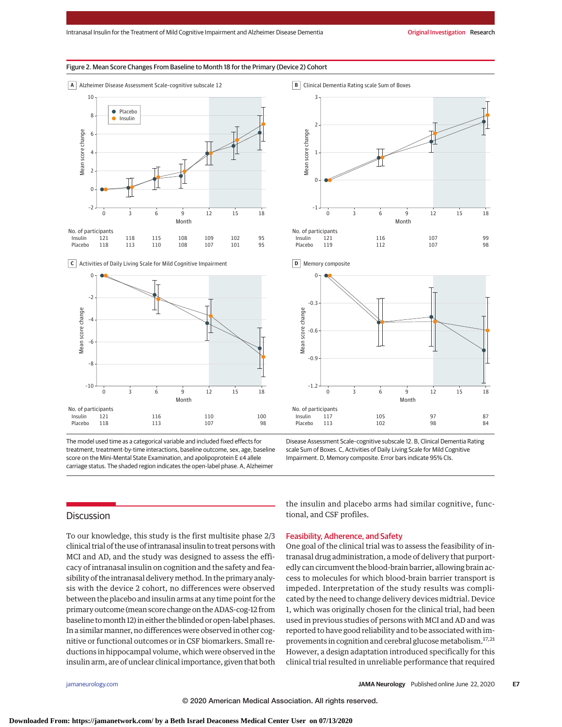# Figure 2. Mean Score Changes From Baseline to Month 18 for the Primary (Device 2) Cohort



**C** Activities of Daily Living Scale for Mild Cognitive Impairment



The model used time as a categorical variable and included fixed effects for treatment, treatment-by-time interactions, baseline outcome, sex, age, baseline score on the Mini-Mental State Examination, and apolipoprotein E ε4 allele carriage status. The shaded region indicates the open-label phase. A, Alzheimer

**B** Clinical Dementia Rating scale Sum of Boxes







Disease Assessment Scale–cognitive subscale 12. B, Clinical Dementia Rating scale Sum of Boxes. C, Activities of Daily Living Scale for Mild Cognitive Impairment. D, Memory composite. Error bars indicate 95% CIs.

# **Discussion**

To our knowledge, this study is the first multisite phase 2/3 clinical trial of the use of intranasal insulin to treat persons with MCI and AD, and the study was designed to assess the efficacy of intranasal insulin on cognition and the safety and feasibility of the intranasal delivery method. In the primary analysis with the device 2 cohort, no differences were observed between the placebo and insulin arms at any time point for the primary outcome (mean score change on the ADAS-cog-12 from baseline tomonth 12) in either the blinded or open-label phases. In a similar manner, no differences were observed in other cognitive or functional outcomes or in CSF biomarkers. Small reductions in hippocampal volume, which were observed in the insulin arm, are of unclear clinical importance, given that both the insulin and placebo arms had similar cognitive, functional, and CSF profiles.

# Feasibility, Adherence, and Safety

One goal of the clinical trial was to assess the feasibility of intranasal drug administration, a mode of delivery that purportedly can circumvent the blood-brain barrier, allowing brain access to molecules for which blood-brain barrier transport is impeded. Interpretation of the study results was complicated by the need to change delivery devices midtrial. Device 1, which was originally chosen for the clinical trial, had been used in previous studies of persons with MCI and AD and was reported to have good reliability and to be associated with improvements in cognition and cerebral glucose metabolism.17,21 However, a design adaptation introduced specifically for this clinical trial resulted in unreliable performance that required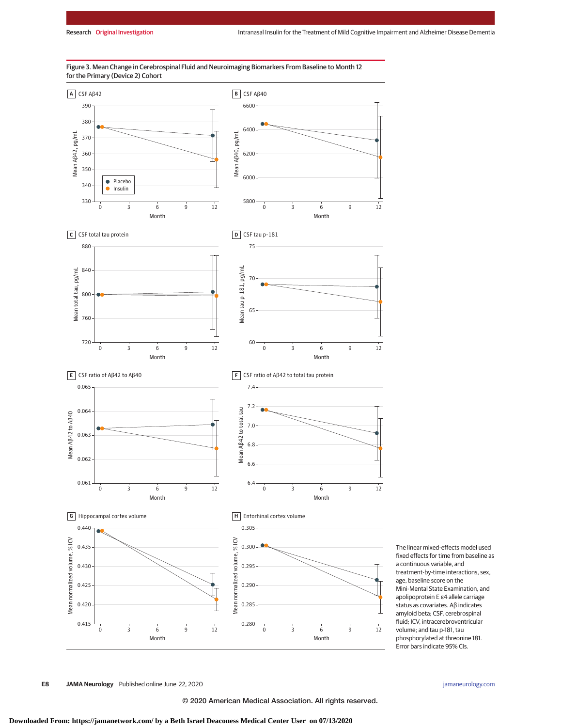

Figure 3. Mean Change in Cerebrospinal Fluid and Neuroimaging Biomarkers From Baseline to Month 12 for the Primary (Device 2) Cohort

> The linear mixed-effects model used fixed effects for time from baseline as a continuous variable, and treatment-by-time interactions, sex, age, baseline score on the Mini-Mental State Examination, and apolipoprotein E ε4 allele carriage status as covariates. Aβ indicates amyloid beta; CSF, cerebrospinal fluid; ICV, intracerebroventricular volume; and tau p-181, tau phosphorylated at threonine 181. Error bars indicate 95% CIs.

**E8 JAMA Neurology** Published online June 22, 2020 **(Reprinted)** [jamaneurology.com](http://www.jamaneurology.com?utm_campaign=articlePDF%26utm_medium=articlePDFlink%26utm_source=articlePDF%26utm_content=jamaneurol.2020.1840)

© 2020 American Medical Association. All rights reserved.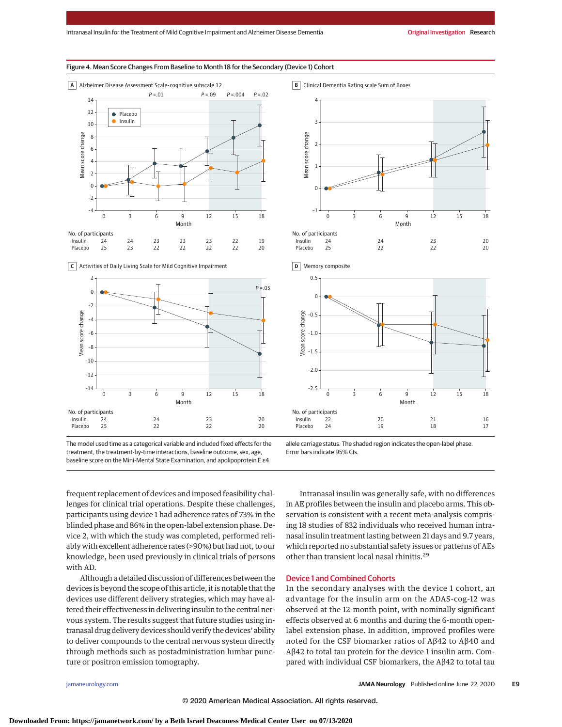#### Figure 4. Mean Score Changes From Baseline to Month 18 for the Secondary (Device 1) Cohort



**C** Activities of Daily Living Scale for Mild Cognitive Impairment





**B** Clinical Dementia Rating scale Sum of Boxes



–2.5 Month Insulin Placebo 22 20 21 16 24 19 18 17 0 3 6 9 12 15 18

allele carriage status. The shaded region indicates the open-label phase. Error bars indicate 95% CIs.

frequent replacement of devices and imposed feasibility challenges for clinical trial operations. Despite these challenges, participants using device 1 had adherence rates of 73% in the blinded phase and 86% in the open-label extension phase. Device 2, with which the study was completed, performed reliably with excellent adherence rates (>90%) but had not, to our knowledge, been used previously in clinical trials of persons with AD.

Although a detailed discussion of differences between the devices is beyond the scope of this article, it is notable that the devices use different delivery strategies, which may have altered their effectiveness in delivering insulin to the central nervous system. The results suggest that future studies using intranasal drug delivery devices should verify the devices' ability to deliver compounds to the central nervous system directly through methods such as postadministration lumbar puncture or positron emission tomography.

Intranasal insulin was generally safe, with no differences in AE profiles between the insulin and placebo arms. This observation is consistent with a recent meta-analysis comprising 18 studies of 832 individuals who received human intranasal insulin treatment lasting between 21 days and 9.7 years, which reported no substantial safety issues or patterns of AEs other than transient local nasal rhinitis.29

# Device 1 and Combined Cohorts

–2.0

In the secondary analyses with the device 1 cohort, an advantage for the insulin arm on the ADAS-cog-12 was observed at the 12-month point, with nominally significant effects observed at 6 months and during the 6-month openlabel extension phase. In addition, improved profiles were noted for the CSF biomarker ratios of Aβ42 to Aβ40 and Aβ42 to total tau protein for the device 1 insulin arm. Compared with individual CSF biomarkers, the Aβ42 to total tau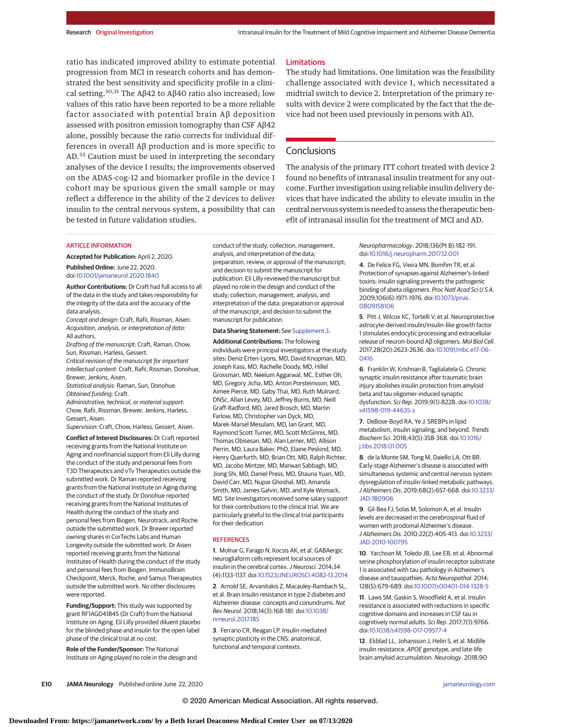ratio has indicated improved ability to estimate potential progression from MCI in research cohorts and has demonstrated the best sensitivity and specificity profile in a clinical setting.<sup>30,31</sup> The Aβ42 to Aβ40 ratio also increased; low values of this ratio have been reported to be a more reliable factor associated with potential brain Aβ deposition assessed with positron emission tomography than CSF Aβ42 alone, possibly because the ratio corrects for individual differences in overall Aβ production and is more specific to AD.<sup>32</sup> Caution must be used in interpreting the secondary analyses of the device 1 results; the improvements observed on the ADAS-cog-12 and biomarker profile in the device 1 cohort may be spurious given the small sample or may reflect a difference in the ability of the 2 devices to deliver insulin to the central nervous system, a possibility that can be tested in future validation studies.

# Limitations

The study had limitations. One limitation was the feasibility challenge associated with device 1, which necessitated a midtrial switch to device 2. Interpretation of the primary results with device 2 were complicated by the fact that the device had not been used previously in persons with AD.

# **Conclusions**

The analysis of the primary ITT cohort treated with device 2 found no benefits of intranasal insulin treatment for any outcome. Further investigation using reliable insulin delivery devices that have indicated the ability to elevate insulin in the central nervous system is needed to assess the therapeutic benefit of intranasal insulin for the treatment of MCI and AD.

# ARTICLE INFORMATION

**Accepted for Publication:** April 2, 2020.

**Published Online:** June 22, 2020. doi[:10.1001/jamaneurol.2020.1840](https://jamanetwork.com/journals/jama/fullarticle/10.1001/jamaneurol.2020.1840?utm_campaign=articlePDF%26utm_medium=articlePDFlink%26utm_source=articlePDF%26utm_content=jamaneurol.2020.1840)

**Author Contributions:** Dr Craft had full access to all of the data in the study and takes responsibility for the integrity of the data and the accuracy of the data analysis.

Concept and design: Craft, Rafii, Rissman, Aisen. Acquisition, analysis, or interpretation of data: All authors.

Drafting of the manuscript: Craft, Raman, Chow, Sun, Rissman, Harless, Gessert.

Critical revision of the manuscript for important intellectual content: Craft, Rafii, Rissman, Donohue, Brewer, Jenkins, Aisen.

Statistical analysis: Raman, Sun, Donohue. Obtained funding: Craft.

Administrative, technical, or material support: Chow, Rafii, Rissman, Brewer, Jenkins, Harless, Gessert, Aisen.

Supervision: Craft, Chow, Harless, Gessert, Aisen.

**Conflict of Interest Disclosures:** Dr Craft reported receiving grants from the National Institute on Aging and nonfinancial support from Eli Lilly during the conduct of the study and personal fees from T3D Therapeutics and vTv Therapeutics outside the submitted work. Dr Raman reported receiving grants from the National Institute on Aging during the conduct of the study. Dr Donohue reported receiving grants from the National Institutes of Health during the conduct of the study and personal fees from Biogen, Neurotrack, and Roche outside the submitted work. Dr Brewer reported owning shares in CorTechs Labs and Human Longevity outside the submitted work. Dr Aisen reported receiving grants from the National Institutes of Health during the conduct of the study and personal fees from Biogen, ImmunoBrain Checkpoint, Merck, Roche, and Samus Therapeutics outside the submitted work. No other disclosures were reported.

**Funding/Support:** This study was supported by grant RF1AG041845 (Dr Craft) from the National Institute on Aging. Eli Lilly provided diluent placebo for the blinded phase and insulin for the open-label phase of the clinical trial at no cost.

**Role of the Funder/Sponsor:** The National Institute on Aging played no role in the design and conduct of the study; collection, management, analysis, and interpretation of the data; preparation, review, or approval of the manuscript; and decision to submit the manuscript for publication. Eli Lilly reviewed the manuscript but played no role in the design and conduct of the study; collection, management, analysis, and interpretation of the data; preparation or approval of the manuscript; and decision to submit the manuscript for publication.

#### **Data Sharing Statement:** See [Supplement 3.](https://jamanetwork.com/journals/jama/fullarticle/10.1001/jamaneurol.2020.1840?utm_campaign=articlePDF%26utm_medium=articlePDFlink%26utm_source=articlePDF%26utm_content=jamaneurol.2020.1840)

**Additional Contributions:** The following individuals were principal investigators at the study sites: Deniz Erten-Lyons, MD, David Knopman, MD, Joseph Kass, MD, Rachelle Doody, MD, Hillel Grossman, MD, Neelum Aggarwal, MC, Esther Oh, MD, Gregory Jicha, MD, Anton Porsteinsson, MD, Aimee Pierce, MD, Gaby Thai, MD, Ruth Mulnard, DNSc, Allan Levey, MD, Jeffrey Burns, MD, Neill Graff-Radford, MD, Jared Brosch, MD, Martin Farlow, MD, Christopher van Dyck, MD, Marek-Marsel Mesulam, MD, Ian Grant, MD, Raymond Scott Turner, MD, Scott McGinnis, MD, Thomas Obisesan, MD, Alan Lerner, MD, Allison Perrin, MD, Laura Baker, PhD, Elaine Peskind, MD, Henry Querfurth, MD, Brian Ott, MD, Ralph Richter, MD, Jacobo Mintzer, MD, Marwan Sabbagh, MD, Jiong Shi, MD, Daniel Press, MD, Shauna Yuan, MD, David Carr, MD, Nupar Ghoshal, MD, Amanda Smith, MD, James Galvin, MD, and Kyle Womack, MD. Site investigators received some salary support for their contributions to the clinical trial. We are particularly grateful to the clinical trial participants for their dedication.

#### **REFERENCES**

**1**. Molnar G, Farago N, Kocsis AK, et al. GABAergic neurogliaform cells represent local sources of insulin in the cerebral cortex. J Neurosci. 2014;34 (4):1133-1137. doi[:10.1523/JNEUROSCI.4082-13.2014](https://dx.doi.org/10.1523/JNEUROSCI.4082-13.2014)

**2**. Arnold SE, Arvanitakis Z, Macauley-Rambach SL, et al. Brain insulin resistance in type 2 diabetes and Alzheimer disease: concepts and conundrums. Nat Rev Neurol. 2018;14(3):168-181. doi[:10.1038/](https://dx.doi.org/10.1038/nrneurol.2017.185) [nrneurol.2017.185](https://dx.doi.org/10.1038/nrneurol.2017.185)

**3**. Ferrario CR, Reagan LP. Insulin-mediated synaptic plasticity in the CNS: anatomical, functional and temporal contexts.

Neuropharmacology. 2018;136(Pt B):182-191. doi[:10.1016/j.neuropharm.2017.12.001](https://dx.doi.org/10.1016/j.neuropharm.2017.12.001)

**4**. De Felice FG, Vieira MN, Bomfim TR, et al. Protection of synapses against Alzheimer's-linked toxins: insulin signaling prevents the pathogenic binding of abeta oligomers. Proc Natl Acad Sci USA. 2009;106(6):1971-1976. doi[:10.1073/pnas.](https://dx.doi.org/10.1073/pnas.0809158106) [0809158106](https://dx.doi.org/10.1073/pnas.0809158106)

**5**. Pitt J, Wilcox KC, Tortelli V, et al. Neuroprotective astrocyte-derived insulin/insulin-like growth factor 1 stimulates endocytic processing and extracellular release of neuron-bound Aβ oligomers. Mol Biol Cell. 2017;28(20):2623-2636. doi[:10.1091/mbc.e17-06-](https://dx.doi.org/10.1091/mbc.e17-06-0416) [0416](https://dx.doi.org/10.1091/mbc.e17-06-0416)

**6**. Franklin W, Krishnan B, Taglialatela G. Chronic synaptic insulin resistance after traumatic brain injury abolishes insulin protection from amyloid beta and tau oligomer-induced synaptic dysfunction. Sci Rep. 2019;9(1):8228. doi[:10.1038/](https://dx.doi.org/10.1038/s41598-019-44635-z) [s41598-019-44635-z](https://dx.doi.org/10.1038/s41598-019-44635-z)

**7**. DeBose-Boyd RA, Ye J. SREBPs in lipid metabolism, insulin signaling, and beyond. Trends Biochem Sci. 2018;43(5):358-368. doi[:10.1016/](https://dx.doi.org/10.1016/j.tibs.2018.01.005) [j.tibs.2018.01.005](https://dx.doi.org/10.1016/j.tibs.2018.01.005)

**8**. de la Monte SM, Tong M, Daiello LA, Ott BR. Early-stage Alzheimer's disease is associated with simultaneous systemic and central nervous system dysregulation of insulin-linked metabolic pathways. J Alzheimers Dis. 2019;68(2):657-668. doi[:10.3233/](https://dx.doi.org/10.3233/JAD-180906) [JAD-180906](https://dx.doi.org/10.3233/JAD-180906)

**9**. Gil-Bea FJ, Solas M, Solomon A, et al. Insulin levels are decreased in the cerebrospinal fluid of women with prodomal Alzheimer's disease. J Alzheimers Dis. 2010;22(2):405-413. doi[:10.3233/](https://dx.doi.org/10.3233/JAD-2010-100795) [JAD-2010-100795](https://dx.doi.org/10.3233/JAD-2010-100795)

**10**. Yarchoan M, Toledo JB, Lee EB, et al. Abnormal serine phosphorylation of insulin receptor substrate 1 is associated with tau pathology in Alzheimer's disease and tauopathies. Acta Neuropathol. 2014; 128(5):679-689. doi[:10.1007/s00401-014-1328-5](https://dx.doi.org/10.1007/s00401-014-1328-5)

**11**. Laws SM, Gaskin S, Woodfield A, et al. Insulin resistance is associated with reductions in specific cognitive domains and increases in CSF tau in cognitively normal adults. Sci Rep. 2017;7(1):9766. doi[:10.1038/s41598-017-09577-4](https://dx.doi.org/10.1038/s41598-017-09577-4)

**12**. Ekblad LL, Johansson J, Helin S, et al. Midlife insulin resistance, APOE genotype, and late-life brain amyloid accumulation. Neurology. 2018;90